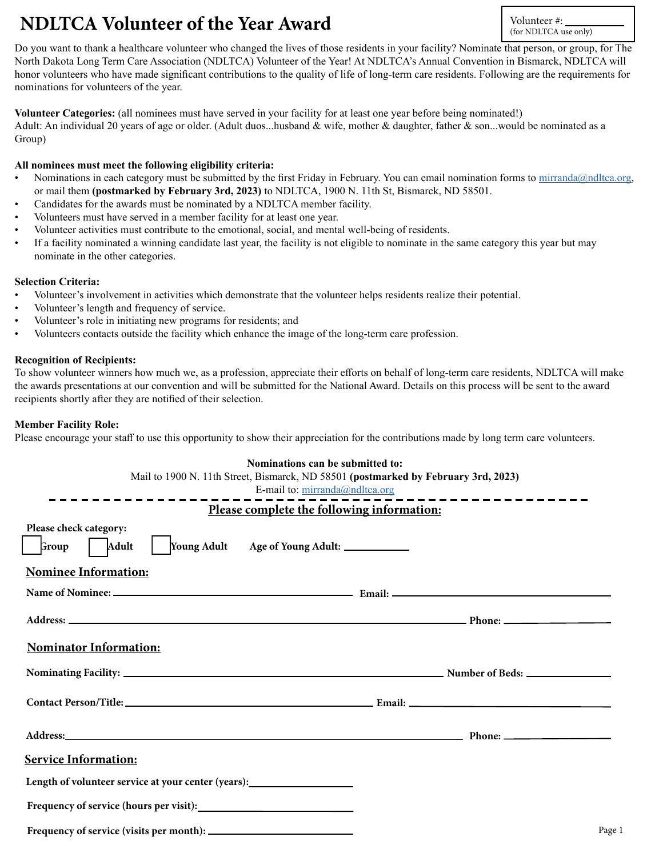# **NDLTCA Volunteer of the Year Award** Volunteer #:

(for NDLTCA use only)

Do you want to thank a healthcare volunteer who changed the lives of those residents in your facility? Nominate that person, or group, for The North Dakota Long Term Care Association (NDLTCA) Volunteer of the Year! At NDLTCA's Annual Convention in Bismarck, NDLTCA will honor volunteers who have made significant contributions to the quality of life of long-term care residents. Following are the requirements for nominations for volunteers of the year.

**Volunteer Categories:** (all nominees must have served in your facility for at least one year before being nominated!)

Adult: An individual 20 years of age or older. (Adult duos...husband & wife, mother & daughter, father & son...would be nominated as a Group)

### **All nominees must meet the following eligibility criteria:**

- Nominations in each category must be submitted by the first Friday in February. You can email nomination forms to [mirranda@ndltca.org](mailto:mirranda%40ndltca.org?subject=), or mail them **(postmarked by February 3rd, 2023)** to NDLTCA, 1900 N. 11th St, Bismarck, ND 58501.
- Candidates for the awards must be nominated by a NDLTCA member facility.
- Volunteers must have served in a member facility for at least one year.
- Volunteer activities must contribute to the emotional, social, and mental well-being of residents.
- If a facility nominated a winning candidate last year, the facility is not eligible to nominate in the same category this year but may nominate in the other categories.

# **Selection Criteria:**

- Volunteer's involvement in activities which demonstrate that the volunteer helps residents realize their potential.
- Volunteer's length and frequency of service.
- Volunteer's role in initiating new programs for residents; and
- Volunteers contacts outside the facility which enhance the image of the long-term care profession.

#### **Recognition of Recipients:**

To show volunteer winners how much we, as a profession, appreciate their efforts on behalf of long-term care residents, NDLTCA will make the awards presentations at our convention and will be submitted for the National Award. Details on this process will be sent to the award recipients shortly after they are notified of their selection.

# **Member Facility Role:**

Please encourage your staff to use this opportunity to show their appreciation for the contributions made by long term care volunteers.

#### **Nominations can be submitted to:**

|                                                                                                                   | Mail to 1900 N. 11th Street, Bismarck, ND 58501 (postmarked by February 3rd, 2023)<br>E-mail to: mirranda@ndltca.org |
|-------------------------------------------------------------------------------------------------------------------|----------------------------------------------------------------------------------------------------------------------|
| -----------------<br>Please complete the following information:                                                   |                                                                                                                      |
| Please check category:<br>Group   Adult<br>Young Adult Age of Young Adult: ____________                           |                                                                                                                      |
| <b>Nominee Information:</b>                                                                                       |                                                                                                                      |
|                                                                                                                   |                                                                                                                      |
|                                                                                                                   |                                                                                                                      |
| <b>Nominator Information:</b>                                                                                     |                                                                                                                      |
|                                                                                                                   |                                                                                                                      |
|                                                                                                                   |                                                                                                                      |
|                                                                                                                   |                                                                                                                      |
| <b>Service Information:</b>                                                                                       |                                                                                                                      |
| Length of volunteer service at your center (years):<br><u>Length of volunteer service</u> at your center (years): |                                                                                                                      |
|                                                                                                                   |                                                                                                                      |
|                                                                                                                   | Page 1                                                                                                               |